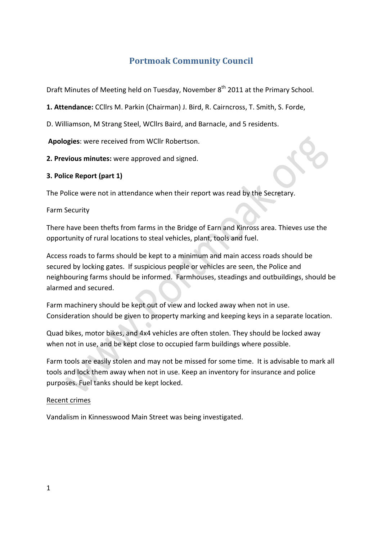# **Portmoak Community Council**

Draft Minutes of Meeting held on Tuesday, November 8<sup>th</sup> 2011 at the Primary School.

1. Attendance: CCllrs M. Parkin (Chairman) J. Bird, R. Cairncross, T. Smith, S. Forde,

D. Williamson, M Strang Steel, WCllrs Baird, and Barnacle, and 5 residents.

Apologies: were received from WCllr Robertson.

**2. Previous minutes:** were approved and signed.

#### **3. Police Report (part 1)**

The Police were not in attendance when their report was read by the Secretary.

Farm!Security

There have been thefts from farms in the Bridge of Earn and Kinross area. Thieves use the opportunity of rural locations to steal vehicles, plant, tools and fuel.

Access roads to farms should be kept to a minimum and main access roads should be secured by locking gates. If suspicious people or vehicles are seen, the Police and neighbouring farms should be informed. Farmhouses, steadings and outbuildings, should be alarmed and secured.

Farm machinery should be kept out of view and locked away when not in use. Consideration should be given to property marking and keeping keys in a separate location.

Quad bikes, motor bikes, and 4x4 vehicles are often stolen. They should be locked away when not in use, and be kept close to occupied farm buildings where possible.

Farm tools are easily stolen and may not be missed for some time. It is advisable to mark all tools and lock them away when not in use. Keep an inventory for insurance and police purposes. Fuel tanks should be kept locked.

#### Recent crimes

Vandalism in Kinnesswood Main Street was being investigated.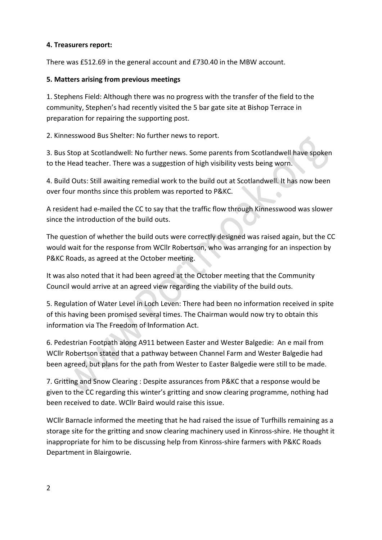#### **4. Treasurers report:**

There was £512.69 in the general account and £730.40 in the MBW account.

#### **5.#Matters#arising from#previous#meetings**

1. Stephens Field: Although there was no progress with the transfer of the field to the community, Stephen's had recently visited the 5 bar gate site at Bishop Terrace in preparation for repairing the supporting post.

2. Kinnesswood Bus Shelter: No further news to report.

3. Bus Stop at Scotlandwell: No further news. Some parents from Scotlandwell have spoken to the Head teacher. There was a suggestion of high visibility vests being worn.

4. Build Outs: Still awaiting remedial work to the build out at Scotlandwell. It has now been over four months since this problem was reported to P&KC.  $\overline{\phantom{a}}$ 

A resident had e-mailed the CC to say that the traffic flow through Kinnesswood was slower since the introduction of the build outs.

The question of whether the build outs were correctly designed was raised again, but the CC would wait for the response from WCllr Robertson, who was arranging for an inspection by P&KC Roads, as agreed at the October meeting.

It was also noted that it had been agreed at the October meeting that the Community Council would arrive at an agreed view regarding the viability of the build outs.

5. Regulation of Water Level in Loch Leven: There had been no information received in spite of this having been promised several times. The Chairman would now try to obtain this information via The Freedom of Information Act.

6. Pedestrian Footpath along A911 between Easter and Wester Balgedie: An e mail from WCllr Robertson stated that a pathway between Channel Farm and Wester Balgedie had been agreed, but plans for the path from Wester to Easter Balgedie were still to be made.

7. Gritting and Snow Clearing : Despite assurances from P&KC that a response would be given to the CC regarding this winter's gritting and snow clearing programme, nothing had been received to date. WCllr Baird would raise this issue.

WCllr Barnacle informed the meeting that he had raised the issue of Turfhills remaining as a storage site for the gritting and snow clearing machinery used in Kinross-shire. He thought it inappropriate for him to be discussing help from Kinross-shire farmers with P&KC Roads Department in Blairgowrie.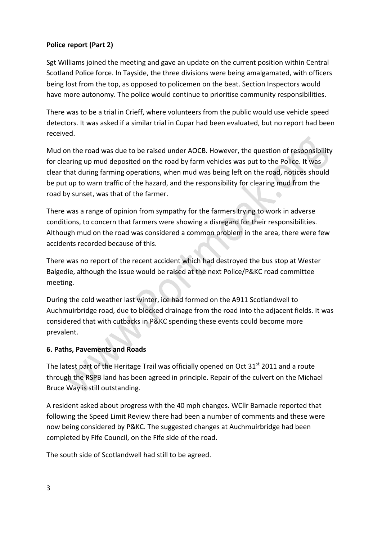## **Police report (Part 2)**

Sgt Williams joined the meeting and gave an update on the current position within Central Scotland Police force. In Tayside, the three divisions were being amalgamated, with officers being lost from the top, as opposed to policemen on the beat. Section Inspectors would have more autonomy. The police would continue to prioritise community responsibilities.

There was to be a trial in Crieff, where volunteers from the public would use vehicle speed detectors. It was asked if a similar trial in Cupar had been evaluated, but no report had been received.

Mud on the road was due to be raised under AOCB. However, the question of responsibility for clearing up mud deposited on the road by farm vehicles was put to the Police. It was clear that during farming operations, when mud was being left on the road, notices should be put up to warn traffic of the hazard, and the responsibility for clearing mud from the road by sunset, was that of the farmer.

There was a range of opinion from sympathy for the farmers trying to work in adverse conditions, to concern that farmers were showing a disregard for their responsibilities. Although mud on the road was considered a common problem in the area, there were few accidents recorded because of this.

There was no report of the recent accident which had destroyed the bus stop at Wester Balgedie, although the issue would be raised at the next Police/P&KC road committee meeting.

During the cold weather last winter, ice had formed on the A911 Scotlandwell to Auchmuirbridge road, due to blocked drainage from the road into the adjacent fields. It was considered that with cutbacks in P&KC spending these events could become more prevalent.

## **6.#Paths,#Pavements#and#Roads**

The latest part of the Heritage Trail was officially opened on Oct  $31<sup>st</sup>$  2011 and a route through the RSPB land has been agreed in principle. Repair of the culvert on the Michael Bruce Way is still outstanding.

A resident asked about progress with the 40 mph changes. WCllr Barnacle reported that following the Speed Limit Review there had been a number of comments and these were now being considered by P&KC. The suggested changes at Auchmuirbridge had been completed by Fife Council, on the Fife side of the road.

The south side of Scotlandwell had still to be agreed.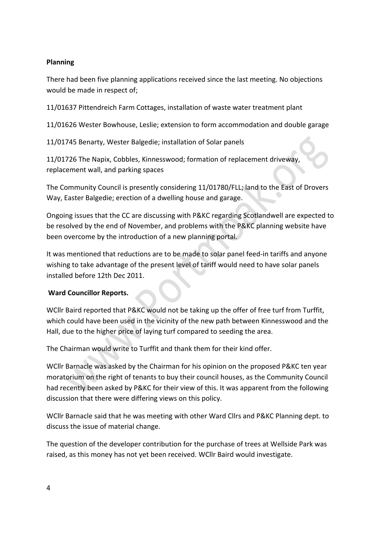## **Planning**

There had been five planning applications received since the last meeting. No objections would be made in respect of;

11/01637 Pittendreich Farm Cottages, installation of waste water treatment plant

11/01626 Wester Bowhouse, Leslie; extension to form accommodation and double garage

11/01745 Benarty, Wester Balgedie; installation of Solar panels

11/01726 The Napix, Cobbles, Kinnesswood; formation of replacement driveway, replacement wall, and parking spaces

The Community Council is presently considering 11/01780/FLL; land to the East of Drovers Way, Easter Balgedie; erection of a dwelling house and garage.

Ongoing issues that the CC are discussing with P&KC regarding Scotlandwell are expected to be resolved by the end of November, and problems with the P&KC planning website have been overcome by the introduction of a new planning portal.

It was mentioned that reductions are to be made to solar panel feed-in tariffs and anyone wishing to take advantage of the present level of tariff would need to have solar panels installed before 12th Dec 2011.

# **Ward Councillor Reports.**

WCllr Baird reported that P&KC would not be taking up the offer of free turf from Turffit, which could have been used in the vicinity of the new path between Kinnesswood and the Hall, due to the higher price of laying turf compared to seeding the area.

The Chairman would write to Turffit and thank them for their kind offer.

WCllr Barnacle was asked by the Chairman for his opinion on the proposed P&KC ten year moratorium on the right of tenants to buy their council houses, as the Community Council had recently been asked by P&KC for their view of this. It was apparent from the following discussion that there were differing views on this policy.

WCllr Barnacle said that he was meeting with other Ward Cllrs and P&KC Planning dept. to discuss the issue of material change.

The question of the developer contribution for the purchase of trees at Wellside Park was raised, as this money has not yet been received. WCllr Baird would investigate.